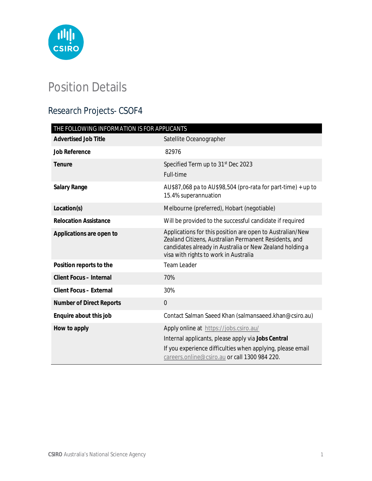

# Position Details

# Research Projects- CSOF4

| THE FOLLOWING INFORMATION IS FOR APPLICANTS |                                                                                                                                                                                                                         |
|---------------------------------------------|-------------------------------------------------------------------------------------------------------------------------------------------------------------------------------------------------------------------------|
| <b>Advertised Job Title</b>                 | Satellite Oceanographer                                                                                                                                                                                                 |
| <b>Job Reference</b>                        | 82976                                                                                                                                                                                                                   |
| <b>Tenure</b>                               | Specified Term up to 31 <sup>st</sup> Dec 2023<br>Full-time                                                                                                                                                             |
| <b>Salary Range</b>                         | AU\$87,068 pa to AU\$98,504 (pro-rata for part-time) + up to<br>15.4% superannuation                                                                                                                                    |
| Location(s)                                 | Melbourne (preferred), Hobart (negotiable)                                                                                                                                                                              |
| <b>Relocation Assistance</b>                | Will be provided to the successful candidate if required                                                                                                                                                                |
| Applications are open to                    | Applications for this position are open to Australian/New<br>Zealand Citizens, Australian Permanent Residents, and<br>candidates already in Australia or New Zealand holding a<br>visa with rights to work in Australia |
| Position reports to the                     | <b>Team Leader</b>                                                                                                                                                                                                      |
| <b>Client Focus - Internal</b>              | 70%                                                                                                                                                                                                                     |
| <b>Client Focus - External</b>              | 30%                                                                                                                                                                                                                     |
| <b>Number of Direct Reports</b>             | $\overline{0}$                                                                                                                                                                                                          |
| Enquire about this job                      | Contact Salman Saeed Khan (salmansaeed.khan@csiro.au)                                                                                                                                                                   |
| How to apply                                | Apply online at https://jobs.csiro.au/<br>Internal applicants, please apply via Jobs Central<br>If you experience difficulties when applying, please email<br>careers.online@csiro.au or call 1300 984 220.             |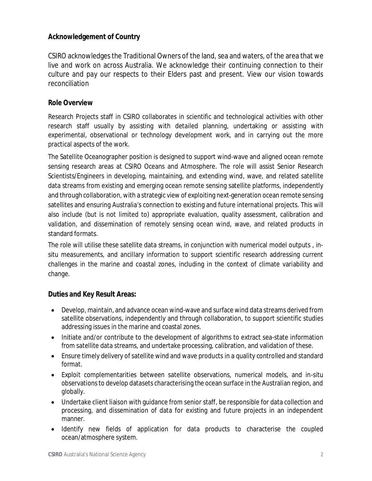# **Acknowledgement of Country**

CSIRO acknowledges the Traditional Owners of the land, sea and waters, of the area that we live and work on across Australia. We acknowledge their continuing connection to their culture and pay our respects to their Elders past and present. View our vision towards reconciliation

#### **Role Overview**

Research Projects staff in CSIRO collaborates in scientific and technological activities with other research staff usually by assisting with detailed planning, undertaking or assisting with experimental, observational or technology development work, and in carrying out the more practical aspects of the work.

The Satellite Oceanographer position is designed to support wind-wave and aligned ocean remote sensing research areas at CSIRO Oceans and Atmosphere. The role will assist Senior Research Scientists/Engineers in developing, maintaining, and extending wind, wave, and related satellite data streams from existing and emerging ocean remote sensing satellite platforms, independently and through collaboration, with a strategic view of exploiting next-generation ocean remote sensing satellites and ensuring Australia's connection to existing and future international projects. This will also include (but is not limited to) appropriate evaluation, quality assessment, calibration and validation, and dissemination of remotely sensing ocean wind, wave, and related products in standard formats.

The role will utilise these satellite data streams, in conjunction with numerical model outputs , insitu measurements, and ancillary information to support scientific research addressing current challenges in the marine and coastal zones, including in the context of climate variability and change.

#### **Duties and Key Result Areas:**

- Develop, maintain, and advance ocean wind-wave and surface wind data streams derived from satellite observations, independently and through collaboration, to support scientific studies addressing issues in the marine and coastal zones.
- Initiate and/or contribute to the development of algorithms to extract sea-state information from satellite data streams, and undertake processing, calibration, and validation of these.
- Ensure timely delivery of satellite wind and wave products in a quality controlled and standard format.
- Exploit complementarities between satellite observations, numerical models, and in-situ observations to develop datasets characterising the ocean surface in the Australian region, and globally.
- Undertake client liaison with guidance from senior staff, be responsible for data collection and processing, and dissemination of data for existing and future projects in an independent manner.
- Identify new fields of application for data products to characterise the coupled ocean/atmosphere system.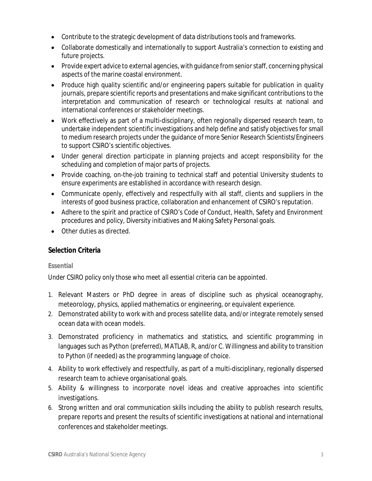- Contribute to the strategic development of data distributions tools and frameworks.
- Collaborate domestically and internationally to support Australia's connection to existing and future projects.
- Provide expert advice to external agencies, with guidance from senior staff, concerning physical aspects of the marine coastal environment.
- Produce high quality scientific and/or engineering papers suitable for publication in quality journals, prepare scientific reports and presentations and make significant contributions to the interpretation and communication of research or technological results at national and international conferences or stakeholder meetings.
- Work effectively as part of a multi-disciplinary, often regionally dispersed research team, to undertake independent scientific investigations and help define and satisfy objectives for small to medium research projects under the guidance of more Senior Research Scientists/Engineers to support CSIRO's scientific objectives.
- Under general direction participate in planning projects and accept responsibility for the scheduling and completion of major parts of projects.
- Provide coaching, on-the-job training to technical staff and potential University students to ensure experiments are established in accordance with research design.
- Communicate openly, effectively and respectfully with all staff, clients and suppliers in the interests of good business practice, collaboration and enhancement of CSIRO's reputation.
- Adhere to the spirit and practice of CSIRO's Code of Conduct, Health, Safety and Environment procedures and policy, Diversity initiatives and Making Safety Personal goals.
- Other duties as directed.

# **Selection Criteria**

#### **Essential**

# *Under CSIRO policy only those who meet all essential criteria can be appointed.*

- 1. Relevant Masters or PhD degree in areas of discipline such as physical oceanography, meteorology, physics, applied mathematics or engineering, or equivalent experience.
- 2. Demonstrated ability to work with and process satellite data, and/or integrate remotely sensed ocean data with ocean models.
- 3. Demonstrated proficiency in mathematics and statistics, and scientific programming in languages such as Python (preferred), MATLAB, R, and/or C. Willingness and ability to transition to Python (if needed) as the programming language of choice.
- 4. Ability to work effectively and respectfully, as part of a multi-disciplinary, regionally dispersed research team to achieve organisational goals.
- 5. Ability & willingness to incorporate novel ideas and creative approaches into scientific investigations.
- 6. Strong written and oral communication skills including the ability to publish research results, prepare reports and present the results of scientific investigations at national and international conferences and stakeholder meetings.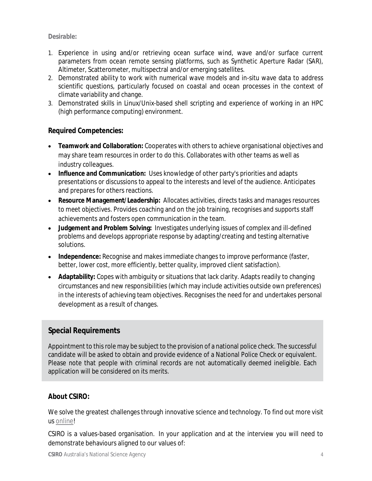#### **Desirable:**

- 1. Experience in using and/or retrieving ocean surface wind, wave and/or surface current parameters from ocean remote sensing platforms, such as Synthetic Aperture Radar (SAR), Altimeter, Scatterometer, multispectral and/or emerging satellites.
- 2. Demonstrated ability to work with numerical wave models and in-situ wave data to address scientific questions, particularly focused on coastal and ocean processes in the context of climate variability and change.
- 3. Demonstrated skills in Linux/Unix-based shell scripting and experience of working in an HPC (high performance computing) environment.

### **Required Competencies:**

- **Teamwork and Collaboration:** Cooperates with others to achieve organisational objectives and may share team resources in order to do this. Collaborates with other teams as well as industry colleagues.
- **Influence and Communication:** Uses knowledge of other party's priorities and adapts presentations or discussions to appeal to the interests and level of the audience. Anticipates and prepares for others reactions.
- **Resource Management/Leadership:** Allocates activities, directs tasks and manages resources to meet objectives. Provides coaching and on the job training, recognises and supports staff achievements and fosters open communication in the team.
- **Judgement and Problem Solving:** Investigates underlying issues of complex and ill-defined problems and develops appropriate response by adapting/creating and testing alternative solutions.
- **Independence:** Recognise and makes immediate changes to improve performance (faster, better, lower cost, more efficiently, better quality, improved client satisfaction).
- **Adaptability:** Copes with ambiguity or situations that lack clarity. Adapts readily to changing circumstances and new responsibilities (which may include activities outside own preferences) in the interests of achieving team objectives. Recognises the need for and undertakes personal development as a result of changes.

# **Special Requirements**

Appointment to this role may be subject to the provision of a national police check. The successful candidate will be asked to obtain and provide evidence of a National Police Check or equivalent. Please note that people with criminal records are not automatically deemed ineligible. Each application will be considered on its merits.

#### **About CSIRO:**

We solve the greatest challenges through innovative science and technology. To find out more visit us online!

CSIRO is a values-based organisation. In your application and at the interview you will need to demonstrate behaviours aligned to our values of: